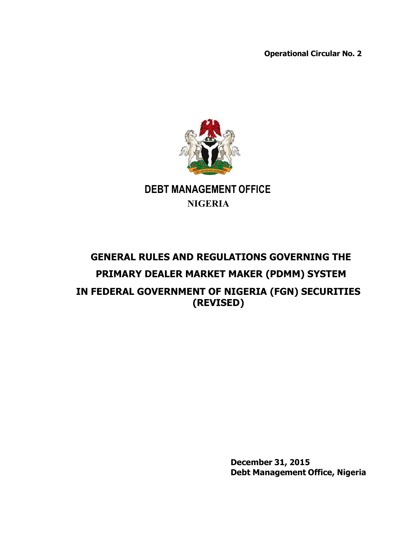**Operational Circular No. 2**



# **DEBT MANAGEMENT OFFICE NIGERIA**

# **GENERAL RULES AND REGULATIONS GOVERNING THE PRIMARY DEALER MARKET MAKER (PDMM) SYSTEM IN FEDERAL GOVERNMENT OF NIGERIA (FGN) SECURITIES (REVISED)**

**December 31, 2015 Debt Management Office, Nigeria**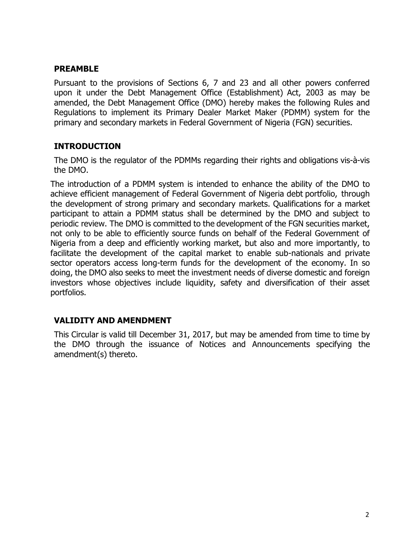### **PREAMBLE**

Pursuant to the provisions of Sections 6, 7 and 23 and all other powers conferred upon it under the Debt Management Office (Establishment) Act, 2003 as may be amended, the Debt Management Office (DMO) hereby makes the following Rules and Regulations to implement its Primary Dealer Market Maker (PDMM) system for the primary and secondary markets in Federal Government of Nigeria (FGN) securities.

### **INTRODUCTION**

The DMO is the regulator of the PDMMs regarding their rights and obligations vis-à-vis the DMO.

The introduction of a PDMM system is intended to enhance the ability of the DMO to achieve efficient management of Federal Government of Nigeria debt portfolio, through the development of strong primary and secondary markets. Qualifications for a market participant to attain a PDMM status shall be determined by the DMO and subject to periodic review. The DMO is committed to the development of the FGN securities market, not only to be able to efficiently source funds on behalf of the Federal Government of Nigeria from a deep and efficiently working market, but also and more importantly, to facilitate the development of the capital market to enable sub-nationals and private sector operators access long-term funds for the development of the economy. In so doing, the DMO also seeks to meet the investment needs of diverse domestic and foreign investors whose objectives include liquidity, safety and diversification of their asset portfolios.

# **VALIDITY AND AMENDMENT**

This Circular is valid till December 31, 2017, but may be amended from time to time by the DMO through the issuance of Notices and Announcements specifying the amendment(s) thereto.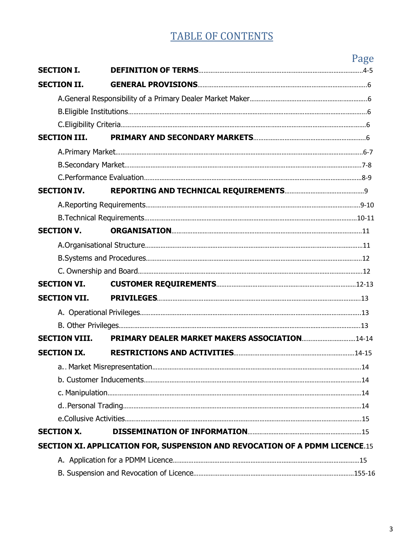# TABLE OF CONTENTS

|                      |                                                                                    | Page |
|----------------------|------------------------------------------------------------------------------------|------|
| <b>SECTION I.</b>    |                                                                                    |      |
| <b>SECTION II.</b>   |                                                                                    |      |
|                      |                                                                                    |      |
|                      |                                                                                    |      |
|                      |                                                                                    |      |
| <b>SECTION III.</b>  |                                                                                    |      |
|                      |                                                                                    |      |
|                      |                                                                                    |      |
|                      |                                                                                    |      |
| <b>SECTION IV.</b>   |                                                                                    |      |
|                      |                                                                                    |      |
|                      |                                                                                    |      |
| <b>SECTION V.</b>    |                                                                                    |      |
|                      |                                                                                    |      |
|                      |                                                                                    |      |
|                      |                                                                                    |      |
| <b>SECTION VI.</b>   |                                                                                    |      |
| <b>SECTION VII.</b>  |                                                                                    |      |
|                      |                                                                                    |      |
|                      |                                                                                    |      |
| <b>SECTION VIII.</b> | PRIMARY DEALER MARKET MAKERS ASSOCIATION14-14                                      |      |
| <b>SECTION IX.</b>   |                                                                                    |      |
|                      |                                                                                    |      |
|                      |                                                                                    |      |
|                      |                                                                                    |      |
|                      |                                                                                    |      |
|                      |                                                                                    |      |
| <b>SECTION X.</b>    |                                                                                    |      |
|                      | <b>SECTION XI. APPLICATION FOR, SUSPENSION AND REVOCATION OF A PDMM LICENCE.15</b> |      |
|                      |                                                                                    |      |
|                      |                                                                                    |      |

B. Suspension and Revocation of Licence…………………………………………………………………………………155-16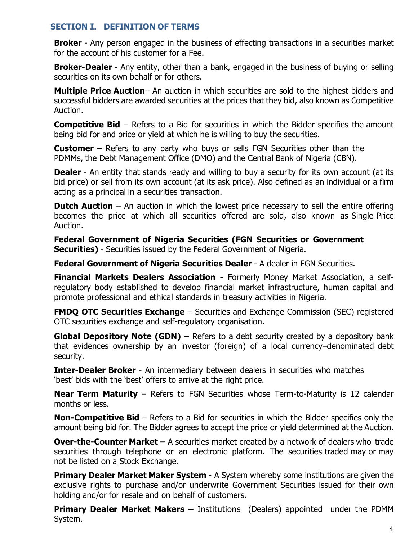### **SECTION I. DEFINITION OF TERMS**

**Broker** - Any person engaged in the business of effecting transactions in a securities market for the account of his customer for a Fee.

**Broker-Dealer -** Any entity, other than a bank, engaged in the business of buying or selling securities on its own behalf or for others.

**Multiple Price Auction**– An auction in which securities are sold to the highest bidders and successful bidders are awarded securities at the prices that they bid, also known as Competitive Auction.

**Competitive Bid** – Refers to a Bid for securities in which the Bidder specifies the amount being bid for and price or yield at which he is willing to buy the securities.

**Customer** – Refers to any party who buys or sells FGN Securities other than the PDMMs, the Debt Management Office (DMO) and the Central Bank of Nigeria (CBN).

**Dealer** - An entity that stands ready and willing to buy a security for its own account (at its bid price) or sell from its own account (at its ask price). Also defined as an individual or a firm acting as a principal in a securities transaction.

**Dutch Auction** – An auction in which the lowest price necessary to sell the entire offering becomes the price at which all securities offered are sold, also known as Single Price Auction.

**Federal Government of Nigeria Securities (FGN Securities or Government Securities)** - Securities issued by the Federal Government of Nigeria.

**Federal Government of Nigeria Securities Dealer** - A dealer in FGN Securities.

**Financial Markets Dealers Association -** Formerly Money Market Association, a selfregulatory body established to develop financial market infrastructure, human capital and promote professional and ethical standards in treasury activities in Nigeria.

**FMDQ OTC Securities Exchange** – Securities and Exchange Commission (SEC) registered OTC securities exchange and self-regulatory organisation.

**Global Depository Note (GDN) –** Refers to a debt security created by a depository bank that evidences ownership by an investor (foreign) of a local currency–denominated debt security.

**Inter-Dealer Broker** - An intermediary between dealers in securities who matches 'best' bids with the 'best' offers to arrive at the right price.

**Near Term Maturity** – Refers to FGN Securities whose Term-to-Maturity is 12 calendar months or less.

**Non-Competitive Bid** – Refers to a Bid for securities in which the Bidder specifies only the amount being bid for. The Bidder agrees to accept the price or yield determined at the Auction.

**Over-the-Counter Market –** A securities market created by a network of dealers who trade securities through telephone or an electronic platform. The securities traded may or may not be listed on a Stock Exchange.

**Primary Dealer Market Maker System** - A System whereby some institutions are given the exclusive rights to purchase and/or underwrite Government Securities issued for their own holding and/or for resale and on behalf of customers.

**Primary Dealer Market Makers –** Institutions (Dealers) appointed under the PDMM System.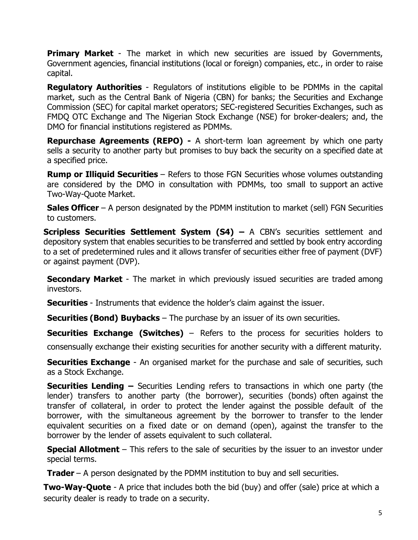**Primary Market** - The market in which new securities are issued by Governments, Government agencies, financial institutions (local or foreign) companies, etc., in order to raise capital.

**Regulatory Authorities** - Regulators of institutions eligible to be PDMMs in the capital market, such as the Central Bank of Nigeria (CBN) for banks; the Securities and Exchange Commission (SEC) for capital market operators; SEC-registered Securities Exchanges, such as FMDQ OTC Exchange and The Nigerian Stock Exchange (NSE) for broker-dealers; and, the DMO for financial institutions registered as PDMMs.

**Repurchase Agreements (REPO) -** A short-term loan agreement by which one party sells a security to another party but promises to buy back the security on a specified date at a specified price.

**Rump or Illiquid Securities** – Refers to those FGN Securities whose volumes outstanding are considered by the DMO in consultation with PDMMs, too small to support an active Two-Way-Quote Market.

**Sales Officer** – A person designated by the PDMM institution to market (sell) FGN Securities to customers.

**Scripless Securities Settlement System (S4) –** A CBN's securities settlement and depository system that enables securities to be transferred and settled by book entry according to a set of predetermined rules and it allows transfer of securities either free of payment (DVF) or against payment (DVP).

**Secondary Market** - The market in which previously issued securities are traded among investors.

**Securities** - Instruments that evidence the holder's claim against the issuer.

**Securities (Bond) Buybacks** – The purchase by an issuer of its own securities.

**Securities Exchange (Switches)** – Refers to the process for securities holders to

consensually exchange their existing securities for another security with a different maturity.

**Securities Exchange** - An organised market for the purchase and sale of securities, such as a Stock Exchange.

**Securities Lending –** Securities Lending refers to transactions in which one party (the lender) transfers to another party (the borrower), securities (bonds) often against the transfer of collateral, in order to protect the lender against the possible default of the borrower, with the simultaneous agreement by the borrower to transfer to the lender equivalent securities on a fixed date or on demand (open), against the transfer to the borrower by the lender of assets equivalent to such collateral.

**Special Allotment** – This refers to the sale of securities by the issuer to an investor under special terms.

**Trader** – A person designated by the PDMM institution to buy and sell securities.

**Two-Way-Quote** - A price that includes both the bid (buy) and offer (sale) price at which a security dealer is ready to trade on a security.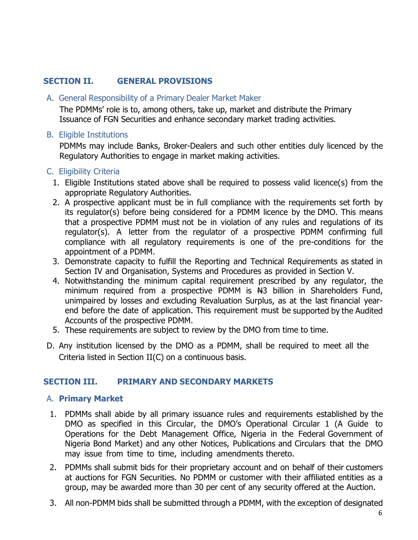# **SECTION II. GENERAL PROVISIONS**

### A. General Responsibility of a Primary Dealer Market Maker

The PDMMs' role is to, among others, take up, market and distribute the Primary Issuance of FGN Securities and enhance secondary market trading activities.

### B. Eligible Institutions

PDMMs may include Banks, Broker-Dealers and such other entities duly licenced by the Regulatory Authorities to engage in market making activities.

### C. Eligibility Criteria

- 1. Eligible Institutions stated above shall be required to possess valid licence(s) from the appropriate Regulatory Authorities.
- 2. A prospective applicant must be in full compliance with the requirements set forth by its regulator(s) before being considered for a PDMM licence by the DMO. This means that a prospective PDMM must not be in violation of any rules and regulations of its regulator(s). A letter from the regulator of a prospective PDMM confirming full compliance with all regulatory requirements is one of the pre-conditions for the appointment of a PDMM.
- 3. Demonstrate capacity to fulfill the Reporting and Technical Requirements as stated in Section IV and Organisation, Systems and Procedures as provided in Section V.
- 4. Notwithstanding the minimum capital requirement prescribed by any regulator, the minimum required from a prospective PDMM is  $H3$  billion in Shareholders Fund, unimpaired by losses and excluding Revaluation Surplus, as at the last financial yearend before the date of application. This requirement must be supported by the Audited Accounts of the prospective PDMM.
- 5. These requirements are subject to review by the DMO from time to time.
- D. Any institution licensed by the DMO as a PDMM, shall be required to meet all the Criteria listed in Section II(C) on a continuous basis.

# **SECTION III. PRIMARY AND SECONDARY MARKETS**

### A. **Primary Market**

- 1. PDMMs shall abide by all primary issuance rules and requirements established by the DMO as specified in this Circular, the DMO's Operational Circular 1 (A Guide to Operations for the Debt Management Office, Nigeria in the Federal Government of Nigeria Bond Market) and any other Notices, Publications and Circulars that the DMO may issue from time to time, including amendments thereto.
- 2. PDMMs shall submit bids for their proprietary account and on behalf of their customers at auctions for FGN Securities. No PDMM or customer with their affiliated entities as a group, may be awarded more than 30 per cent of any security offered at the Auction.
- 3. All non-PDMM bids shall be submitted through a PDMM, with the exception of designated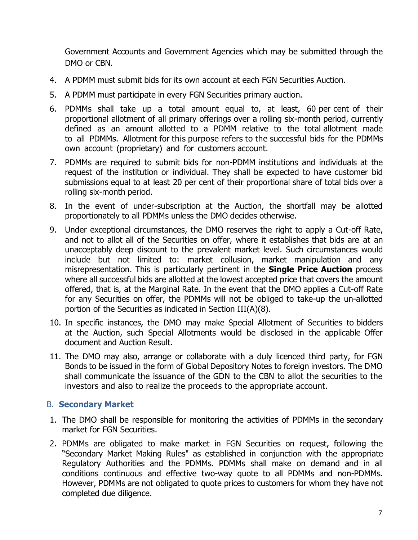Government Accounts and Government Agencies which may be submitted through the DMO or CBN.

- 4. A PDMM must submit bids for its own account at each FGN Securities Auction.
- 5. A PDMM must participate in every FGN Securities primary auction.
- 6. PDMMs shall take up a total amount equal to, at least, 60 per cent of their proportional allotment of all primary offerings over a rolling six-month period, currently defined as an amount allotted to a PDMM relative to the total allotment made to all PDMMs. Allotment for this purpose refers to the successful bids for the PDMMs own account (proprietary) and for customers account.
- 7. PDMMs are required to submit bids for non-PDMM institutions and individuals at the request of the institution or individual. They shall be expected to have customer bid submissions equal to at least 20 per cent of their proportional share of total bids over a rolling six-month period.
- 8. In the event of under-subscription at the Auction, the shortfall may be allotted proportionately to all PDMMs unless the DMO decides otherwise.
- 9. Under exceptional circumstances, the DMO reserves the right to apply a Cut-off Rate, and not to allot all of the Securities on offer, where it establishes that bids are at an unacceptably deep discount to the prevalent market level. Such circumstances would include but not limited to: market collusion, market manipulation and any misrepresentation. This is particularly pertinent in the **Single Price Auction** process where all successful bids are allotted at the lowest accepted price that covers the amount offered, that is, at the Marginal Rate. In the event that the DMO applies a Cut-off Rate for any Securities on offer, the PDMMs will not be obliged to take-up the un-allotted portion of the Securities as indicated in Section III(A)(8).
- 10. In specific instances, the DMO may make Special Allotment of Securities to bidders at the Auction, such Special Allotments would be disclosed in the applicable Offer document and Auction Result.
- 11. The DMO may also, arrange or collaborate with a duly licenced third party, for FGN Bonds to be issued in the form of Global Depository Notes to foreign investors. The DMO shall communicate the issuance of the GDN to the CBN to allot the securities to the investors and also to realize the proceeds to the appropriate account.

### B. **Secondary Market**

- 1. The DMO shall be responsible for monitoring the activities of PDMMs in the secondary market for FGN Securities.
- 2. PDMMs are obligated to make market in FGN Securities on request, following the "Secondary Market Making Rules" as established in conjunction with the appropriate Regulatory Authorities and the PDMMs. PDMMs shall make on demand and in all conditions continuous and effective two-way quote to all PDMMs and non-PDMMs. However, PDMMs are not obligated to quote prices to customers for whom they have not completed due diligence.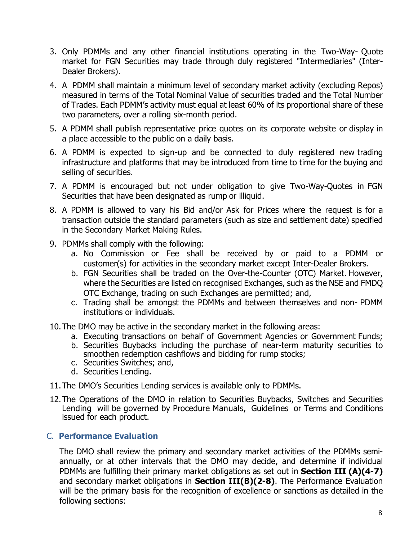- 3. Only PDMMs and any other financial institutions operating in the Two-Way- Quote market for FGN Securities may trade through duly registered "Intermediaries" (Inter-Dealer Brokers).
- 4. A PDMM shall maintain a minimum level of secondary market activity (excluding Repos) measured in terms of the Total Nominal Value of securities traded and the Total Number of Trades. Each PDMM's activity must equal at least 60% of its proportional share of these two parameters, over a rolling six-month period.
- 5. A PDMM shall publish representative price quotes on its corporate website or display in a place accessible to the public on a daily basis.
- 6. A PDMM is expected to sign-up and be connected to duly registered new trading infrastructure and platforms that may be introduced from time to time for the buying and selling of securities.
- 7. A PDMM is encouraged but not under obligation to give Two-Way-Quotes in FGN Securities that have been designated as rump or illiquid.
- 8. A PDMM is allowed to vary his Bid and/or Ask for Prices where the request is for a transaction outside the standard parameters (such as size and settlement date) specified in the Secondary Market Making Rules.
- 9. PDMMs shall comply with the following:
	- a. No Commission or Fee shall be received by or paid to a PDMM or customer(s) for activities in the secondary market except Inter-Dealer Brokers.
	- b. FGN Securities shall be traded on the Over-the-Counter (OTC) Market. However, where the Securities are listed on recognised Exchanges, such as the NSE and FMDQ OTC Exchange, trading on such Exchanges are permitted; and,
	- c. Trading shall be amongst the PDMMs and between themselves and non- PDMM institutions or individuals.
- 10.The DMO may be active in the secondary market in the following areas:
	- a. Executing transactions on behalf of Government Agencies or Government Funds;
	- b. Securities Buybacks including the purchase of near-term maturity securities to smoothen redemption cashflows and bidding for rump stocks;
	- c. Securities Switches; and,
	- d. Securities Lending.
- 11.The DMO's Securities Lending services is available only to PDMMs.
- 12.The Operations of the DMO in relation to Securities Buybacks, Switches and Securities Lending will be governed by Procedure Manuals, Guidelines or Terms and Conditions issued for each product.

# C. **Performance Evaluation**

The DMO shall review the primary and secondary market activities of the PDMMs semiannually, or at other intervals that the DMO may decide, and determine if individual PDMMs are fulfilling their primary market obligations as set out in **Section III (A)(4-7)** and secondary market obligations in **Section III(B)(2-8)**. The Performance Evaluation will be the primary basis for the recognition of excellence or sanctions as detailed in the following sections: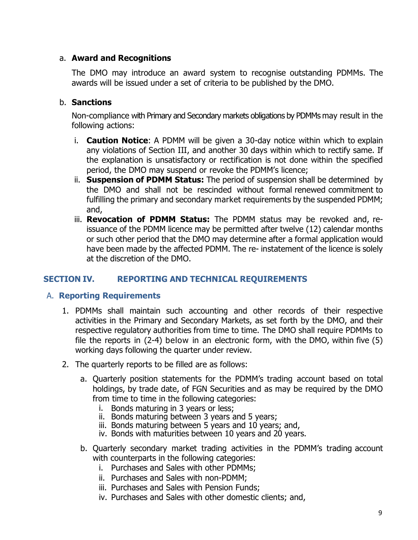### a. **Award and Recognitions**

The DMO may introduce an award system to recognise outstanding PDMMs. The awards will be issued under a set of criteria to be published by the DMO.

### b. **Sanctions**

Non-compliance with Primary and Secondary markets obligations by PDMMs may result in the following actions:

- i. **Caution Notice**: A PDMM will be given a 30-day notice within which to explain any violations of Section III, and another 30 days within which to rectify same. If the explanation is unsatisfactory or rectification is not done within the specified period, the DMO may suspend or revoke the PDMM's licence;
- ii. **Suspension of PDMM Status:** The period of suspension shall be determined by the DMO and shall not be rescinded without formal renewed commitment to fulfilling the primary and secondary market requirements by the suspended PDMM; and,
- iii. **Revocation of PDMM Status:** The PDMM status may be revoked and, reissuance of the PDMM licence may be permitted after twelve (12) calendar months or such other period that the DMO may determine after a formal application would have been made by the affected PDMM. The re- instatement of the licence is solely at the discretion of the DMO.

# **SECTION IV. REPORTING AND TECHNICAL REQUIREMENTS**

### A. **Reporting Requirements**

- 1. PDMMs shall maintain such accounting and other records of their respective activities in the Primary and Secondary Markets, as set forth by the DMO, and their respective regulatory authorities from time to time. The DMO shall require PDMMs to file the reports in (2-4) below in an electronic form, with the DMO, within five (5) working days following the quarter under review.
- 2. The quarterly reports to be filled are as follows:
	- a. Quarterly position statements for the PDMM's trading account based on total holdings, by trade date, of FGN Securities and as may be required by the DMO from time to time in the following categories:
		- i. Bonds maturing in 3 years or less;
		- ii. Bonds maturing between 3 years and 5 years;
		- iii. Bonds maturing between 5 years and 10 years; and,
		- iv. Bonds with maturities between 10 years and 20 years.
	- b. Quarterly secondary market trading activities in the PDMM's trading account with counterparts in the following categories:
		- i. Purchases and Sales with other PDMMs;
		- ii. Purchases and Sales with non-PDMM;
		- iii. Purchases and Sales with Pension Funds;
		- iv. Purchases and Sales with other domestic clients; and,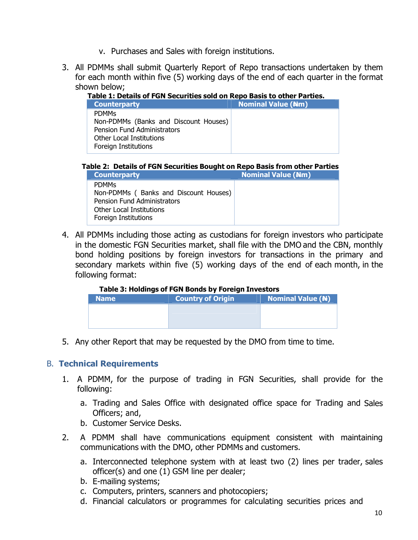- v. Purchases and Sales with foreign institutions.
- 3. All PDMMs shall submit Quarterly Report of Repo transactions undertaken by them for each month within five (5) working days of the end of each quarter in the format shown below;
	- **Table 1: Details of FGN Securities sold on Repo Basis to other Parties.**

| <b>Counterparty</b>                   | <b>Nominal Value (Nm)</b> |  |  |  |
|---------------------------------------|---------------------------|--|--|--|
| <b>PDMMS</b>                          |                           |  |  |  |
| Non-PDMMs (Banks and Discount Houses) |                           |  |  |  |
| <b>Pension Fund Administrators</b>    |                           |  |  |  |
| Other Local Institutions              |                           |  |  |  |
| Foreign Institutions                  |                           |  |  |  |
|                                       |                           |  |  |  |

 **Table 2: Details of FGN Securities Bought on Repo Basis from other Parties**

| <b>Counterparty</b>                                                                                                                             | <b>Nominal Value (Nm)</b> |
|-------------------------------------------------------------------------------------------------------------------------------------------------|---------------------------|
| <b>PDMMs</b><br>Non-PDMMs (Banks and Discount Houses)<br><b>Pension Fund Administrators</b><br>Other Local Institutions<br>Foreign Institutions |                           |

4. All PDMMs including those acting as custodians for foreign investors who participate in the domestic FGN Securities market, shall file with the DMO and the CBN, monthly bond holding positions by foreign investors for transactions in the primary and secondary markets within five (5) working days of the end of each month, in the following format:

#### **Table 3: Holdings of FGN Bonds by Foreign Investors**

| <b>Name</b> | <b>Country of Origin</b> | <b>Nominal Value (N)</b> |
|-------------|--------------------------|--------------------------|
|             |                          |                          |
|             |                          |                          |
|             |                          |                          |

5. Any other Report that may be requested by the DMO from time to time.

### B. **Technical Requirements**

- 1. A PDMM, for the purpose of trading in FGN Securities, shall provide for the following:
	- a. Trading and Sales Office with designated office space for Trading and Sales Officers; and,
	- b. Customer Service Desks.
- 2. A PDMM shall have communications equipment consistent with maintaining communications with the DMO, other PDMMs and customers.
	- a. Interconnected telephone system with at least two (2) lines per trader, sales officer(s) and one (1) GSM line per dealer;
	- b. E-mailing systems;
	- c. Computers, printers, scanners and photocopiers;
	- d. Financial calculators or programmes for calculating securities prices and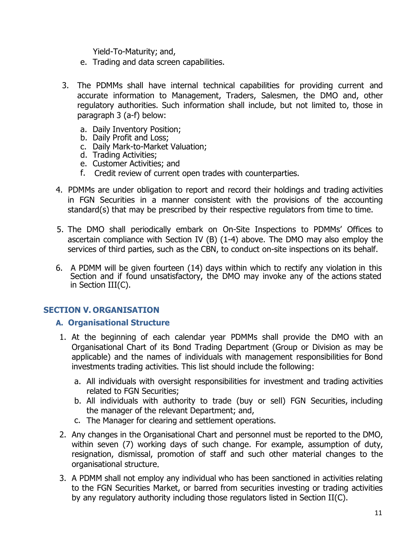Yield-To-Maturity; and,

- e. Trading and data screen capabilities.
- 3. The PDMMs shall have internal technical capabilities for providing current and accurate information to Management, Traders, Salesmen, the DMO and, other regulatory authorities. Such information shall include, but not limited to, those in paragraph 3 (a-f) below:
	- a. Daily Inventory Position;
	- b. Daily Profit and Loss;
	- c. Daily Mark-to-Market Valuation;
	- d. Trading Activities;
	- e. Customer Activities; and
	- f. Credit review of current open trades with counterparties.
- 4. PDMMs are under obligation to report and record their holdings and trading activities in FGN Securities in a manner consistent with the provisions of the accounting standard(s) that may be prescribed by their respective regulators from time to time.
- 5. The DMO shall periodically embark on On-Site Inspections to PDMMs' Offices to ascertain compliance with Section IV (B) (1-4) above. The DMO may also employ the services of third parties, such as the CBN, to conduct on-site inspections on its behalf.
- 6. A PDMM will be given fourteen (14) days within which to rectify any violation in this Section and if found unsatisfactory, the DMO may invoke any of the actions stated in Section III(C).

### **SECTION V. ORGANISATION**

### **A. Organisational Structure**

- 1. At the beginning of each calendar year PDMMs shall provide the DMO with an Organisational Chart of its Bond Trading Department (Group or Division as may be applicable) and the names of individuals with management responsibilities for Bond investments trading activities. This list should include the following:
	- a. All individuals with oversight responsibilities for investment and trading activities related to FGN Securities;
	- b. All individuals with authority to trade (buy or sell) FGN Securities, including the manager of the relevant Department; and,
	- c. The Manager for clearing and settlement operations.
- 2. Any changes in the Organisational Chart and personnel must be reported to the DMO, within seven (7) working days of such change. For example, assumption of duty, resignation, dismissal, promotion of staff and such other material changes to the organisational structure.
- 3. A PDMM shall not employ any individual who has been sanctioned in activities relating to the FGN Securities Market, or barred from securities investing or trading activities by any regulatory authority including those regulators listed in Section II(C).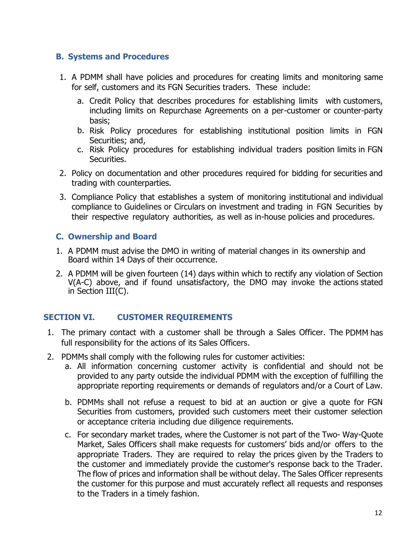### **B. Systems and Procedures**

- 1. A PDMM shall have policies and procedures for creating limits and monitoring same for self, customers and its FGN Securities traders. These include:
	- a. Credit Policy that describes procedures for establishing limits with customers, including limits on Repurchase Agreements on a per-customer or counter-party basis;
	- b. Risk Policy procedures for establishing institutional position limits in FGN Securities; and,
	- c. Risk Policy procedures for establishing individual traders position limits in FGN Securities.
- 2. Policy on documentation and other procedures required for bidding for securities and trading with counterparties.
- 3. Compliance Policy that establishes a system of monitoring institutional and individual compliance to Guidelines or Circulars on investment and trading in FGN Securities by their respective regulatory authorities, as well as in-house policies and procedures.

# **C. Ownership and Board**

- 1. A PDMM must advise the DMO in writing of material changes in its ownership and Board within 14 Days of their occurrence.
- 2. A PDMM will be given fourteen (14) days within which to rectify any violation of Section V(A-C) above, and if found unsatisfactory, the DMO may invoke the actions stated in Section III(C).

# **SECTION VI. CUSTOMER REQUIREMENTS**

- 1. The primary contact with a customer shall be through a Sales Officer. The PDMM has full responsibility for the actions of its Sales Officers.
- 2. PDMMs shall comply with the following rules for customer activities:
	- a. All information concerning customer activity is confidential and should not be provided to any party outside the individual PDMM with the exception of fulfilling the appropriate reporting requirements or demands of regulators and/or a Court of Law.
	- b. PDMMs shall not refuse a request to bid at an auction or give a quote for FGN Securities from customers, provided such customers meet their customer selection or acceptance criteria including due diligence requirements.
	- c. For secondary market trades, where the Customer is not part of the Two- Way-Quote Market, Sales Officers shall make requests for customers' bids and/or offers to the appropriate Traders. They are required to relay the prices given by the Traders to the customer and immediately provide the customer's response back to the Trader. The flow of prices and information shall be without delay. The Sales Officer represents the customer for this purpose and must accurately reflect all requests and responses to the Traders in a timely fashion.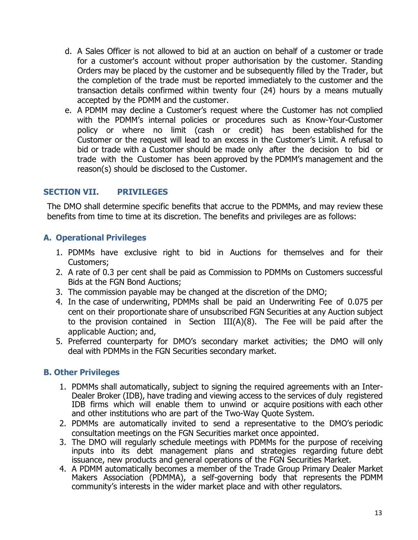- d. A Sales Officer is not allowed to bid at an auction on behalf of a customer or trade for a customer's account without proper authorisation by the customer. Standing Orders may be placed by the customer and be subsequently filled by the Trader, but the completion of the trade must be reported immediately to the customer and the transaction details confirmed within twenty four (24) hours by a means mutually accepted by the PDMM and the customer.
- e. A PDMM may decline a Customer's request where the Customer has not complied with the PDMM's internal policies or procedures such as Know-Your-Customer policy or where no limit (cash or credit) has been established for the Customer or the request will lead to an excess in the Customer's Limit. A refusal to bid or trade with a Customer should be made only after the decision to bid or trade with the Customer has been approved by the PDMM's management and the reason(s) should be disclosed to the Customer.

### **SECTION VII. PRIVILEGES**

The DMO shall determine specific benefits that accrue to the PDMMs, and may review these benefits from time to time at its discretion. The benefits and privileges are as follows:

### **A. Operational Privileges**

- 1. PDMMs have exclusive right to bid in Auctions for themselves and for their Customers;
- 2. A rate of 0.3 per cent shall be paid as Commission to PDMMs on Customers successful Bids at the FGN Bond Auctions;
- 3. The commission payable may be changed at the discretion of the DMO;
- 4. In the case of underwriting, PDMMs shall be paid an Underwriting Fee of 0.075 per cent on their proportionate share of unsubscribed FGN Securities at any Auction subject to the provision contained in Section III(A)(8). The Fee will be paid after the applicable Auction; and,
- 5. Preferred counterparty for DMO's secondary market activities; the DMO will only deal with PDMMs in the FGN Securities secondary market.

### **B. Other Privileges**

- 1. PDMMs shall automatically, subject to signing the required agreements with an Inter-Dealer Broker (IDB), have trading and viewing access to the services of duly registered IDB firms which will enable them to unwind or acquire positions with each other and other institutions who are part of the Two-Way Quote System.
- 2. PDMMs are automatically invited to send a representative to the DMO's periodic consultation meetings on the FGN Securities market once appointed.
- 3. The DMO will regularly schedule meetings with PDMMs for the purpose of receiving inputs into its debt management plans and strategies regarding future debt issuance, new products and general operations of the FGN Securities Market.
- 4. A PDMM automatically becomes a member of the Trade Group Primary Dealer Market Makers Association (PDMMA), a self-governing body that represents the PDMM community's interests in the wider market place and with other regulators.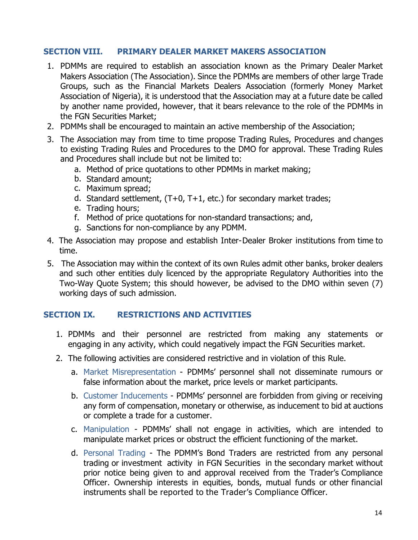### **SECTION VIII. PRIMARY DEALER MARKET MAKERS ASSOCIATION**

- 1. PDMMs are required to establish an association known as the Primary Dealer Market Makers Association (The Association). Since the PDMMs are members of other large Trade Groups, such as the Financial Markets Dealers Association (formerly Money Market Association of Nigeria), it is understood that the Association may at a future date be called by another name provided, however, that it bears relevance to the role of the PDMMs in the FGN Securities Market;
- 2. PDMMs shall be encouraged to maintain an active membership of the Association;
- 3. The Association may from time to time propose Trading Rules, Procedures and changes to existing Trading Rules and Procedures to the DMO for approval. These Trading Rules and Procedures shall include but not be limited to:
	- a. Method of price quotations to other PDMMs in market making;
	- b. Standard amount;
	- c. Maximum spread;
	- d. Standard settlement,  $(T+0, T+1, \text{etc.})$  for secondary market trades;
	- e. Trading hours;
	- f. Method of price quotations for non-standard transactions; and,
	- g. Sanctions for non-compliance by any PDMM.
- 4. The Association may propose and establish Inter-Dealer Broker institutions from time to time.
- 5. The Association may within the context of its own Rules admit other banks, broker dealers and such other entities duly licenced by the appropriate Regulatory Authorities into the Two-Way Quote System; this should however, be advised to the DMO within seven (7) working days of such admission.

### **SECTION IX. RESTRICTIONS AND ACTIVITIES**

- 1. PDMMs and their personnel are restricted from making any statements or engaging in any activity, which could negatively impact the FGN Securities market.
- 2. The following activities are considered restrictive and in violation of this Rule.
	- a. Market Misrepresentation PDMMs' personnel shall not disseminate rumours or false information about the market, price levels or market participants.
	- b. Customer Inducements PDMMs' personnel are forbidden from giving or receiving any form of compensation, monetary or otherwise, as inducement to bid at auctions or complete a trade for a customer.
	- c. Manipulation PDMMs' shall not engage in activities, which are intended to manipulate market prices or obstruct the efficient functioning of the market.
	- d. Personal Trading The PDMM's Bond Traders are restricted from any personal trading or investment activity in FGN Securities in the secondary market without prior notice being given to and approval received from the Trader's Compliance Officer. Ownership interests in equities, bonds, mutual funds or other financial instruments shall be reported to the Trader's Compliance Officer.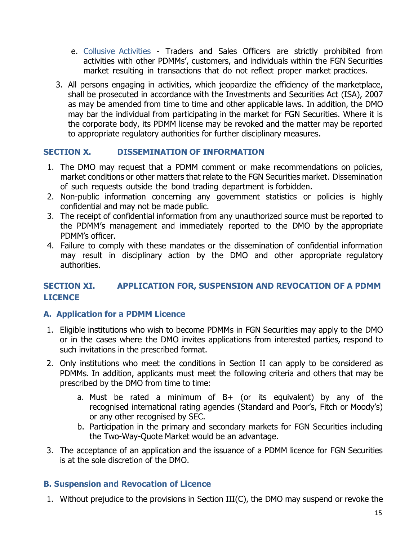- e. Collusive Activities Traders and Sales Officers are strictly prohibited from activities with other PDMMs', customers, and individuals within the FGN Securities market resulting in transactions that do not reflect proper market practices.
- 3. All persons engaging in activities, which jeopardize the efficiency of the marketplace, shall be prosecuted in accordance with the Investments and Securities Act (ISA), 2007 as may be amended from time to time and other applicable laws. In addition, the DMO may bar the individual from participating in the market for FGN Securities. Where it is the corporate body, its PDMM license may be revoked and the matter may be reported to appropriate regulatory authorities for further disciplinary measures.

### **SECTION X. DISSEMINATION OF INFORMATION**

- 1. The DMO may request that a PDMM comment or make recommendations on policies, market conditions or other matters that relate to the FGN Securities market. Dissemination of such requests outside the bond trading department is forbidden.
- 2. Non-public information concerning any government statistics or policies is highly confidential and may not be made public.
- 3. The receipt of confidential information from any unauthorized source must be reported to the PDMM's management and immediately reported to the DMO by the appropriate PDMM's officer.
- 4. Failure to comply with these mandates or the dissemination of confidential information may result in disciplinary action by the DMO and other appropriate regulatory authorities.

# **SECTION XI. APPLICATION FOR, SUSPENSION AND REVOCATION OF A PDMM LICENCE**

# **A. Application for a PDMM Licence**

- 1. Eligible institutions who wish to become PDMMs in FGN Securities may apply to the DMO or in the cases where the DMO invites applications from interested parties, respond to such invitations in the prescribed format.
- 2. Only institutions who meet the conditions in Section II can apply to be considered as PDMMs. In addition, applicants must meet the following criteria and others that may be prescribed by the DMO from time to time:
	- a. Must be rated a minimum of  $B+$  (or its equivalent) by any of the recognised international rating agencies (Standard and Poor's, Fitch or Moody's) or any other recognised by SEC.
	- b. Participation in the primary and secondary markets for FGN Securities including the Two-Way-Quote Market would be an advantage.
- 3. The acceptance of an application and the issuance of a PDMM licence for FGN Securities is at the sole discretion of the DMO.

# **B. Suspension and Revocation of Licence**

1. Without prejudice to the provisions in Section III(C), the DMO may suspend or revoke the